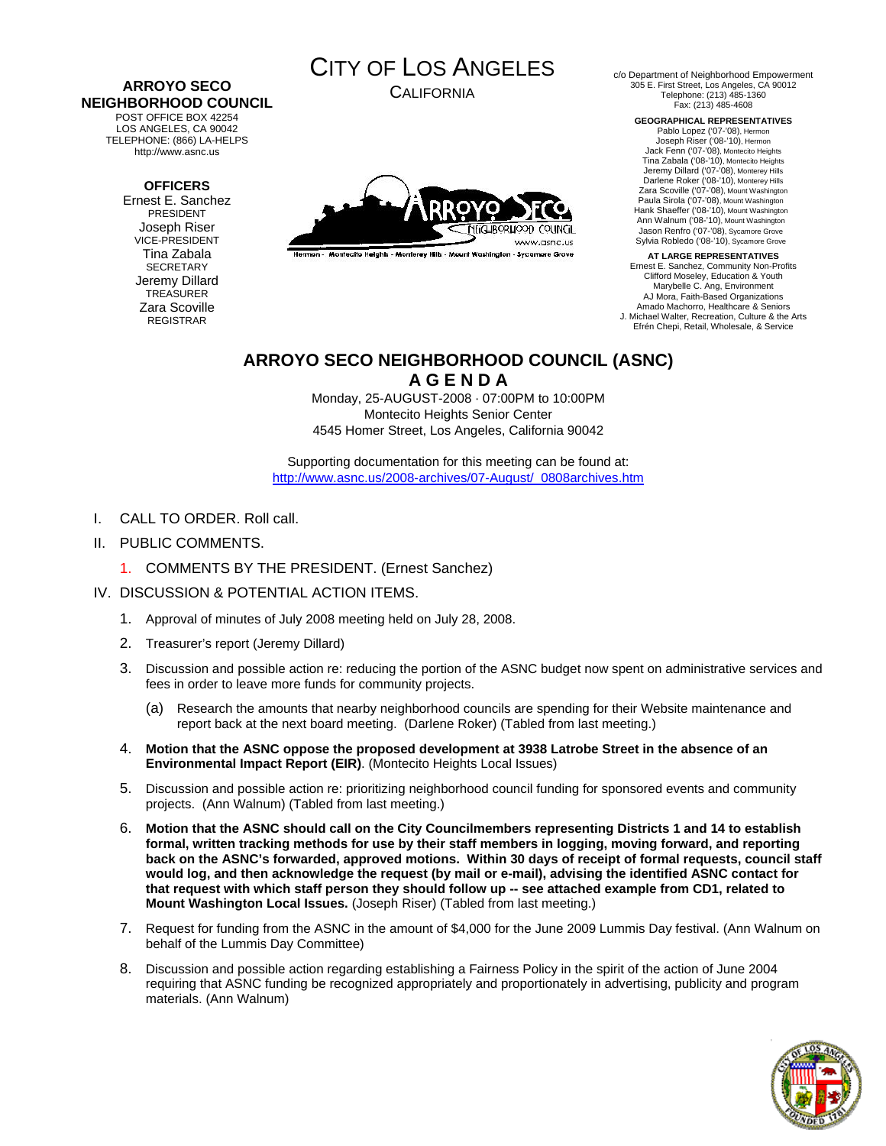#### **ARROYO SECO NEIGHBORHOOD COUNCIL**  POST OFFICE BOX 42254

LOS ANGELES, CA 90042 TELEPHONE: (866) LA-HELPS http://www.asnc.us

#### **OFFICERS**

Ernest E. Sanchez PRESIDENT Joseph Riser VICE-PRESIDENT Tina Zabala **SECRETARY** Jeremy Dillard TREASURER Zara Scoville REGISTRAR



CALIFORNIA



Hermon - Montecito Heights - Monterey Hills - Mount Washington - Sycamore Grove

c/o Department of Neighborhood Empowerment 305 E. First Street, Los Angeles, CA 90012 Telephone: (213) 485-1360 Fax: (213) 485-4608

> **GEOGRAPHICAL REPRESENTATIVES**  Pablo Lopez ('07-'08), Hermon Joseph Riser ('08-'10), Hermon Jack Fenn ('07-'08), Montecito Heights Tina Zabala ('08-'10), Montecito Heights Jeremy Dillard ('07-'08), Monterey Hills Darlene Roker ('08-'10), Monterey Hills Zara Scoville ('07-'08), Mount Washington Paula Sirola ('07-'08), Mount Washington Hank Shaeffer ('08-'10), Mount Washington Ann Walnum ('08-'10), Mount Washington Jason Renfro ('07-'08), Sycamore Grove Sylvia Robledo ('08-'10), Sycamore Grove

**AT LARGE REPRESENTATIVES**  Ernest E. Sanchez, Community Non-Profits Clifford Moseley, Education & Youth Marybelle C. Ang, Environment AJ Mora, Faith-Based Organizations Amado Machorro, Healthcare & Seniors J. Michael Walter, Recreation, Culture & the Arts Efrén Chepi, Retail, Wholesale, & Service

# **ARROYO SECO NEIGHBORHOOD COUNCIL (ASNC)**

**A G E N D A** 

Monday, 25-AUGUST-2008 · 07:00PM to 10:00PM Montecito Heights Senior Center 4545 Homer Street, Los Angeles, California 90042

Supporting documentation for this meeting can be found at: [http://www.asnc.us/2008-archives/07-August/\\_0808archives.htm](http://www.asnc.us/2008-archives/07-August/_0808archives.htm)

- I. CALL TO ORDER. Roll call.
- II. PUBLIC COMMENTS.
	- 1. [COMMENTS BY THE PRESIDENT. \(Ernest Sanchez\)](http://www.assembly.ca.gov/44)

### IV. DISCUSSION & POTENTIAL ACTION ITEMS.

- 1. Approval of minutes of July 2008 meeting held on July 28, 2008.
- 2. Treasurer's report (Jeremy Dillard)
- 3. Discussion and possible action re: reducing the portion of the ASNC budget now spent on administrative services and fees in order to leave more funds for community projects.
	- (a) Research the amounts that nearby neighborhood councils are spending for their Website maintenance and report back at the next board meeting. (Darlene Roker) (Tabled from last meeting.)
- 4. **Motion that the ASNC oppose the proposed development at 3938 Latrobe Street in the absence of an Environmental Impact Report (EIR)**. (Montecito Heights Local Issues)
- 5. Discussion and possible action re: prioritizing neighborhood council funding for sponsored events and community projects. (Ann Walnum) (Tabled from last meeting.)
- 6. **Motion that the ASNC should call on the City Councilmembers representing Districts 1 and 14 to establish formal, written tracking methods for use by their staff members in logging, moving forward, and reporting back on the ASNC's forwarded, approved motions. Within 30 days of receipt of formal requests, council staff would log, and then acknowledge the request (by mail or e-mail), advising the identified ASNC contact for that request with which staff person they should follow up -- see attached example from CD1, related to Mount Washington Local Issues.** (Joseph Riser) (Tabled from last meeting.)
- 7. Request for funding from the ASNC in the amount of \$4,000 for the June 2009 Lummis Day festival. (Ann Walnum on behalf of the Lummis Day Committee)
- 8. Discussion and possible action regarding establishing a Fairness Policy in the spirit of the action of June 2004 requiring that ASNC funding be recognized appropriately and proportionately in advertising, publicity and program materials. (Ann Walnum)

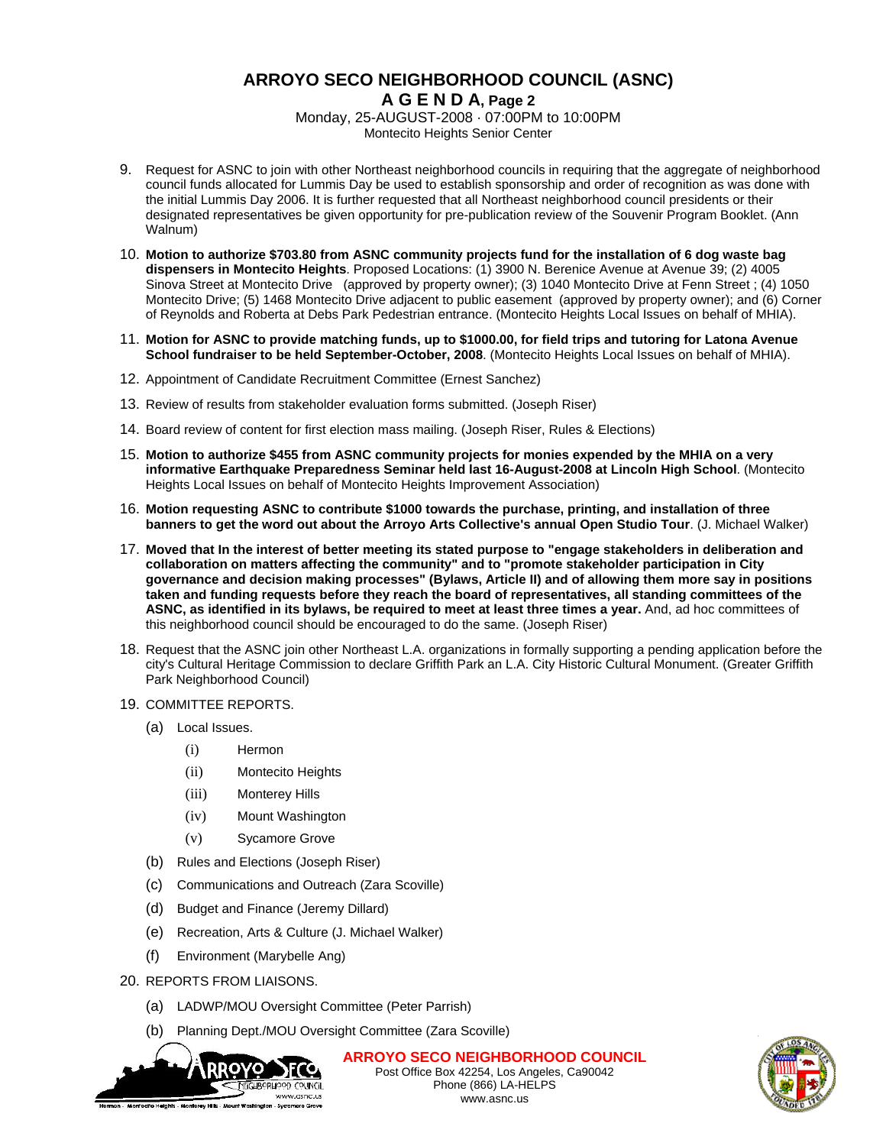## **ARROYO SECO NEIGHBORHOOD COUNCIL (ASNC) A G E N D A, Page 2**

Monday, 25-AUGUST-2008 · 07:00PM to 10:00PM Montecito Heights Senior Center

- 9. Request for ASNC to join with other Northeast neighborhood councils in requiring that the aggregate of neighborhood council funds allocated for Lummis Day be used to establish sponsorship and order of recognition as was done with the initial Lummis Day 2006. It is further requested that all Northeast neighborhood council presidents or their designated representatives be given opportunity for pre-publication review of the Souvenir Program Booklet. (Ann Walnum)
- 10. **Motion to authorize \$703.80 from ASNC community projects fund for the installation of 6 dog waste bag dispensers in Montecito Heights**. Proposed Locations: (1) 3900 N. Berenice Avenue at Avenue 39; (2) 4005 Sinova Street at Montecito Drive (approved by property owner); (3) 1040 Montecito Drive at Fenn Street ; (4) 1050 Montecito Drive; (5) 1468 Montecito Drive adjacent to public easement (approved by property owner); and (6) Corner of Reynolds and Roberta at Debs Park Pedestrian entrance. (Montecito Heights Local Issues on behalf of MHIA).
- 11. **Motion for ASNC to provide matching funds, up to \$1000.00, for field trips and tutoring for Latona Avenue School fundraiser to be held September-October, 2008**. (Montecito Heights Local Issues on behalf of MHIA).
- 12. Appointment of Candidate Recruitment Committee (Ernest Sanchez)
- 13. Review of results from stakeholder evaluation forms submitted. (Joseph Riser)
- 14. Board review of content for first election mass mailing. (Joseph Riser, Rules & Elections)
- 15. **Motion to authorize \$455 from ASNC community projects for monies expended by the MHIA on a very informative Earthquake Preparedness Seminar held last 16-August-2008 at Lincoln High School**. (Montecito Heights Local Issues on behalf of Montecito Heights Improvement Association)
- 16. **Motion requesting ASNC to contribute \$1000 towards the purchase, printing, and installation of three banners to get the word out about the Arroyo Arts Collective's annual Open Studio Tour**. (J. Michael Walker)
- 17. **Moved that In the interest of better meeting its stated purpose to "engage stakeholders in deliberation and collaboration on matters affecting the community" and to "promote stakeholder participation in City governance and decision making processes" (Bylaws, Article II) and of allowing them more say in positions taken and funding requests before they reach the board of representatives, all standing committees of the ASNC, as identified in its bylaws, be required to meet at least three times a year.** And, ad hoc committees of this neighborhood council should be encouraged to do the same. (Joseph Riser)
- 18. Request that the ASNC join other Northeast L.A. organizations in formally supporting a pending application before the city's Cultural Heritage Commission to declare Griffith Park an L.A. City Historic Cultural Monument. (Greater Griffith Park Neighborhood Council)
- 19. COMMITTEE REPORTS.
	- (a) Local Issues.
		- (i) Hermon
		- (ii) Montecito Heights
		- (iii) Monterey Hills
		- (iv) Mount Washington
		- (v) Sycamore Grove
	- (b) Rules and Elections (Joseph Riser)
	- (c) Communications and Outreach (Zara Scoville)
	- (d) Budget and Finance (Jeremy Dillard)
	- (e) Recreation, Arts & Culture (J. Michael Walker)
	- (f) Environment (Marybelle Ang)
- 20. REPORTS FROM LIAISONS.
	- (a) LADWP/MOU Oversight Committee (Peter Parrish)
	- (b) Planning Dept./MOU Oversight Committee (Zara Scoville)



**ARROYO SECO NEIGHBORHOOD COUNCIL** Post Office Box 42254, Los Angeles, Ca90042 Phone (866) LA-HELPS www.asnc.us